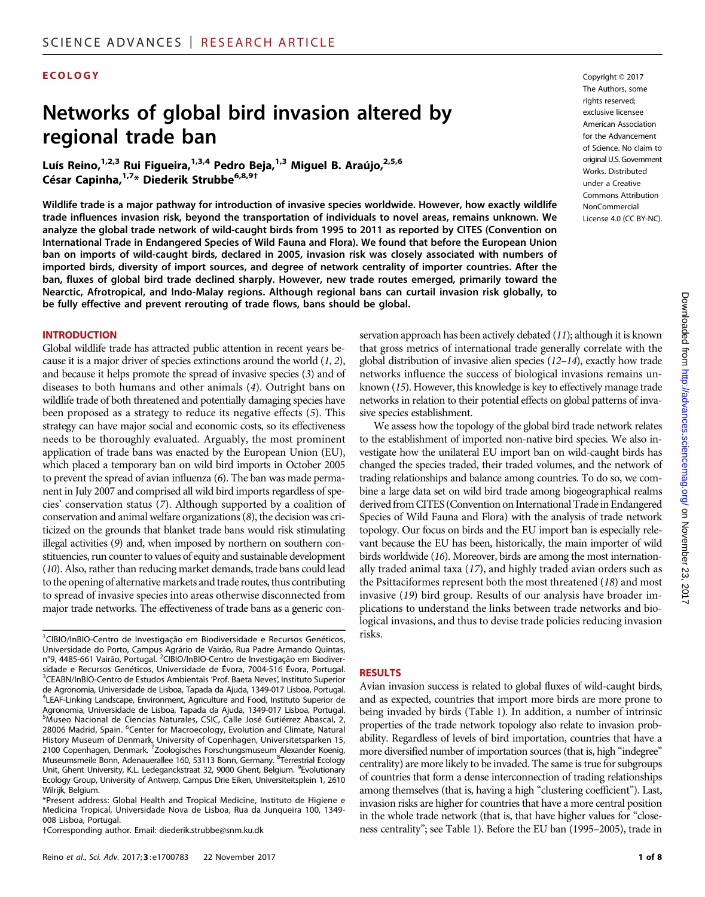#### $\mathsf{ECOLOGY}$   $\Box$

# Networks of global bird invasion altered by regional trade ban

Luís Reino,<sup>1,2,3</sup> Rui Figueira,<sup>1,3,4</sup> Pedro Beja,<sup>1,3</sup> Miguel B. Araújo,<sup>2,5,6</sup> César Capinha, 1,7\* Diederik Strubbe<sup>6,8,9†</sup>

Wildlife trade is a major pathway for introduction of invasive species worldwide. However, how exactly wildlife trade influences invasion risk, beyond the transportation of individuals to novel areas, remains unknown. We analyze the global trade network of wild-caught birds from 1995 to 2011 as reported by CITES (Convention on International Trade in Endangered Species of Wild Fauna and Flora). We found that before the European Union ban on imports of wild-caught birds, declared in 2005, invasion risk was closely associated with numbers of imported birds, diversity of import sources, and degree of network centrality of importer countries. After the ban, fluxes of global bird trade declined sharply. However, new trade routes emerged, primarily toward the Nearctic, Afrotropical, and Indo-Malay regions. Although regional bans can curtail invasion risk globally, to be fully effective and prevent rerouting of trade flows, bans should be global.

#### INTRODUCTION

Global wildlife trade has attracted public attention in recent years because it is a major driver of species extinctions around the world (1, 2), and because it helps promote the spread of invasive species (3) and of diseases to both humans and other animals (4). Outright bans on wildlife trade of both threatened and potentially damaging species have been proposed as a strategy to reduce its negative effects (5). This strategy can have major social and economic costs, so its effectiveness needs to be thoroughly evaluated. Arguably, the most prominent application of trade bans was enacted by the European Union (EU), which placed a temporary ban on wild bird imports in October 2005 to prevent the spread of avian influenza (6). The ban was made permanent in July 2007 and comprised all wild bird imports regardless of species' conservation status (7). Although supported by a coalition of conservation and animal welfare organizations (8), the decision was criticized on the grounds that blanket trade bans would risk stimulating illegal activities (9) and, when imposed by northern on southern constituencies, run counter to values of equity and sustainable development (10). Also, rather than reducing market demands, trade bans could lead to the opening of alternative markets and trade routes, thus contributing to spread of invasive species into areas otherwise disconnected from major trade networks. The effectiveness of trade bans as a generic con-

†Corresponding author. Email: diederik.strubbe@snm.ku.dk

The Authors, some rights reserved; exclusive licensee American Association for the Advancement of Science. No claim to original U.S. Government Works. Distributed under a Creative Commons Attribution NonCommercial License 4.0 (CC BY-NC).

servation approach has been actively debated (11); although it is known that gross metrics of international trade generally correlate with the global distribution of invasive alien species (12–14), exactly how trade networks influence the success of biological invasions remains unknown (15). However, this knowledge is key to effectively manage trade networks in relation to their potential effects on global patterns of invasive species establishment.

We assess how the topology of the global bird trade network relates to the establishment of imported non-native bird species. We also investigate how the unilateral EU import ban on wild-caught birds has changed the species traded, their traded volumes, and the network of trading relationships and balance among countries. To do so, we combine a large data set on wild bird trade among biogeographical realms derived from CITES (Convention on International Trade in Endangered Species of Wild Fauna and Flora) with the analysis of trade network topology. Our focus on birds and the EU import ban is especially relevant because the EU has been, historically, the main importer of wild birds worldwide (16). Moreover, birds are among the most internationally traded animal taxa (17), and highly traded avian orders such as the Psittaciformes represent both the most threatened (18) and most invasive (19) bird group. Results of our analysis have broader implications to understand the links between trade networks and biological invasions, and thus to devise trade policies reducing invasion risks.

#### RESULTS

Avian invasion success is related to global fluxes of wild-caught birds, and as expected, countries that import more birds are more prone to being invaded by birds (Table 1). In addition, a number of intrinsic properties of the trade network topology also relate to invasion probability. Regardless of levels of bird importation, countries that have a more diversified number of importation sources (that is, high "indegree" centrality) are more likely to be invaded. The same is true for subgroups of countries that form a dense interconnection of trading relationships among themselves (that is, having a high "clustering coefficient"). Last, invasion risks are higher for countries that have a more central position in the whole trade network (that is, that have higher values for "closeness centrality"; see Table 1). Before the EU ban (1995–2005), trade in

<sup>&</sup>lt;sup>1</sup>CIBIO/InBIO-Centro de Investigação em Biodiversidade e Recursos Genéticos, Universidade do Porto, Campus Agrário de Vairão, Rua Padre Armando Quintas, n°9, 4485-661 Vairão, Portugal. <sup>2</sup>CIBIO/InBIO-Centro de Investigação em Biodiversidade e Recursos Genéticos, Universidade de Évora, 7004-516 Évora, Portugal. 3 CEABN/InBIO-Centro de Estudos Ambientais 'Prof. Baeta Neves', Instituto Superior de Agronomia, Universidade de Lisboa, Tapada da Ajuda, 1349-017 Lisboa, Portugal. 4 LEAF-Linking Landscape, Environment, Agriculture and Food, Instituto Superior de Agronomia, Universidade de Lisboa, Tapada da Ajuda, 1349-017 Lisboa, Portugal. 5 Museo Nacional de Ciencias Naturales, CSIC, Calle José Gutiérrez Abascal, 2, 28006 Madrid, Spain. <sup>6</sup>Center for Macroecology, Evolution and Climate, Natural History Museum of Denmark, University of Copenhagen, Universitetsparken 15, 2100 Copenhagen, Denmark. <sup>7</sup>Zoologisches Forschungsmuseum Alexander Koenig, Museumsmeile Bonn, Adenauerallee 160, 53113 Bonn, Germany. <sup>8</sup>Terrestrial Ecology Unit, Ghent University, K.L. Ledeganckstraat 32, 9000 Ghent, Belgium. <sup>9</sup>Evolutionary Ecology Group, University of Antwerp, Campus Drie Eiken, Universiteitsplein 1, 2610 Wilrijk, Belgium.

<sup>\*</sup>Present address: Global Health and Tropical Medicine, Instituto de Higiene e Medicina Tropical, Universidade Nova de Lisboa, Rua da Junqueira 100, 1349- 008 Lisboa, Portugal.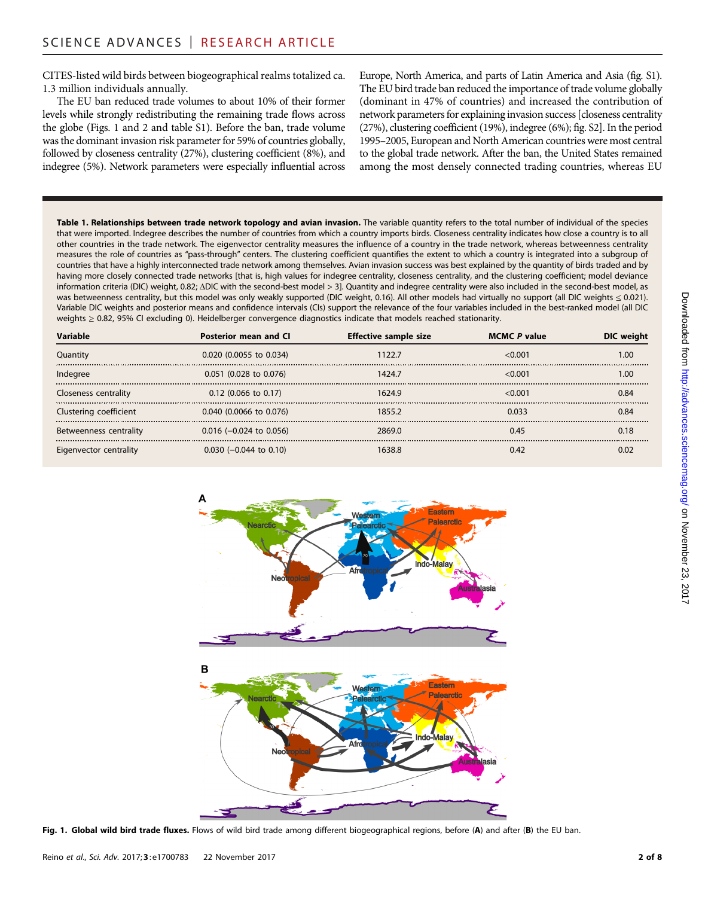CITES-listed wild birds between biogeographical realms totalized ca. 1.3 million individuals annually.

The EU ban reduced trade volumes to about 10% of their former levels while strongly redistributing the remaining trade flows across the globe (Figs. 1 and 2 and table S1). Before the ban, trade volume was the dominant invasion risk parameter for 59% of countries globally, followed by closeness centrality (27%), clustering coefficient (8%), and indegree (5%). Network parameters were especially influential across

Europe, North America, and parts of Latin America and Asia (fig. S1). The EU bird trade ban reduced the importance of trade volume globally (dominant in 47% of countries) and increased the contribution of network parameters for explaining invasion success [closeness centrality (27%), clustering coefficient (19%), indegree (6%); fig. S2]. In the period 1995–2005, European and North American countries were most central to the global trade network. After the ban, the United States remained among the most densely connected trading countries, whereas EU

Table 1. Relationships between trade network topology and avian invasion. The variable quantity refers to the total number of individual of the species that were imported. Indegree describes the number of countries from which a country imports birds. Closeness centrality indicates how close a country is to all other countries in the trade network. The eigenvector centrality measures the influence of a country in the trade network, whereas betweenness centrality measures the role of countries as "pass-through" centers. The clustering coefficient quantifies the extent to which a country is integrated into a subgroup of countries that have a highly interconnected trade network among themselves. Avian invasion success was best explained by the quantity of birds traded and by having more closely connected trade networks [that is, high values for indegree centrality, closeness centrality, and the clustering coefficient; model deviance information criteria (DIC) weight, 0.82;  $\Delta$ DIC with the second-best model > 3]. Quantity and indegree centrality were also included in the second-best model, as was betweenness centrality, but this model was only weakly supported (DIC weight, 0.16). All other models had virtually no support (all DIC weights ≤ 0.021). Variable DIC weights and posterior means and confidence intervals (CIs) support the relevance of the four variables included in the best-ranked model (all DIC weights ≥ 0.82, 95% CI excluding 0). Heidelberger convergence diagnostics indicate that models reached stationarity.

| Variable               | Posterior mean and Cl     | <b>Effective sample size</b> | <b>MCMC P value</b> | DIC weight |
|------------------------|---------------------------|------------------------------|---------------------|------------|
| Quantity               | 0.020 (0.0055 to 0.034)   | 1122.7                       | < 0.001             | L.OO.      |
| Indegree               | $0.051$ (0.028 to 0.076)  | 1424.7                       | <0.001              | L.OO.      |
| Closeness centrality   | $0.12$ (0.066 to 0.17)    | 1624.9                       | 0.001 >             | 0.84       |
| Clustering coefficient | 0.040 (0.0066 to 0.076)   | 1855.2                       | 0.033               | 0.84       |
| Betweenness centrality | $0.016$ (-0.024 to 0.056) | 28690                        | 0.45                | 0.18       |
| Eigenvector centrality | $0.030$ (-0.044 to 0.10)  | 1638.8                       | 0.42                |            |



Fig. 1. Global wild bird trade fluxes. Flows of wild bird trade among different biogeographical regions, before (A) and after (B) the EU ban.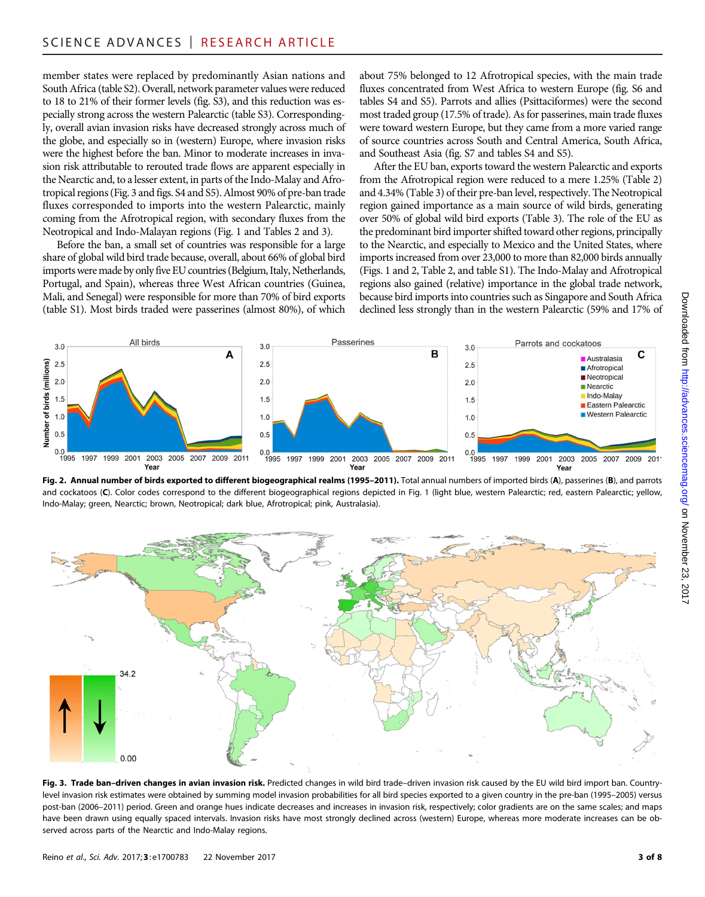member states were replaced by predominantly Asian nations and South Africa (table S2). Overall, network parameter values were reduced to 18 to 21% of their former levels (fig. S3), and this reduction was especially strong across the western Palearctic (table S3). Correspondingly, overall avian invasion risks have decreased strongly across much of the globe, and especially so in (western) Europe, where invasion risks were the highest before the ban. Minor to moderate increases in invasion risk attributable to rerouted trade flows are apparent especially in the Nearctic and, to a lesser extent, in parts of the Indo-Malay and Afrotropical regions (Fig. 3 and figs. S4 and S5). Almost 90% of pre-ban trade fluxes corresponded to imports into the western Palearctic, mainly coming from the Afrotropical region, with secondary fluxes from the Neotropical and Indo-Malayan regions (Fig. 1 and Tables 2 and 3).

Before the ban, a small set of countries was responsible for a large share of global wild bird trade because, overall, about 66% of global bird imports were made by only five EU countries (Belgium, Italy, Netherlands, Portugal, and Spain), whereas three West African countries (Guinea, Mali, and Senegal) were responsible for more than 70% of bird exports (table S1). Most birds traded were passerines (almost 80%), of which about 75% belonged to 12 Afrotropical species, with the main trade fluxes concentrated from West Africa to western Europe (fig. S6 and tables S4 and S5). Parrots and allies (Psittaciformes) were the second most traded group (17.5% of trade). As for passerines, main trade fluxes were toward western Europe, but they came from a more varied range of source countries across South and Central America, South Africa, and Southeast Asia (fig. S7 and tables S4 and S5).

After the EU ban, exports toward the western Palearctic and exports from the Afrotropical region were reduced to a mere 1.25% (Table 2) and 4.34% (Table 3) of their pre-ban level, respectively. The Neotropical region gained importance as a main source of wild birds, generating over 50% of global wild bird exports (Table 3). The role of the EU as the predominant bird importer shifted toward other regions, principally to the Nearctic, and especially to Mexico and the United States, where imports increased from over 23,000 to more than 82,000 birds annually (Figs. 1 and 2, Table 2, and table S1). The Indo-Malay and Afrotropical regions also gained (relative) importance in the global trade network, because bird imports into countries such as Singapore and South Africa declined less strongly than in the western Palearctic (59% and 17% of



Fig. 2. Annual number of birds exported to different biogeographical realms (1995-2011). Total annual numbers of imported birds (A), passerines (B), and parrots and cockatoos (C). Color codes correspond to the different biogeographical regions depicted in Fig. 1 (light blue, western Palearctic; red, eastern Palearctic; yellow, Indo-Malay; green, Nearctic; brown, Neotropical; dark blue, Afrotropical; pink, Australasia).



Fig. 3. Trade ban-driven changes in avian invasion risk. Predicted changes in wild bird trade-driven invasion risk caused by the EU wild bird import ban. Countrylevel invasion risk estimates were obtained by summing model invasion probabilities for all bird species exported to a given country in the pre-ban (1995–2005) versus post-ban (2006–2011) period. Green and orange hues indicate decreases and increases in invasion risk, respectively; color gradients are on the same scales; and maps have been drawn using equally spaced intervals. Invasion risks have most strongly declined across (western) Europe, whereas more moderate increases can be observed across parts of the Nearctic and Indo-Malay regions.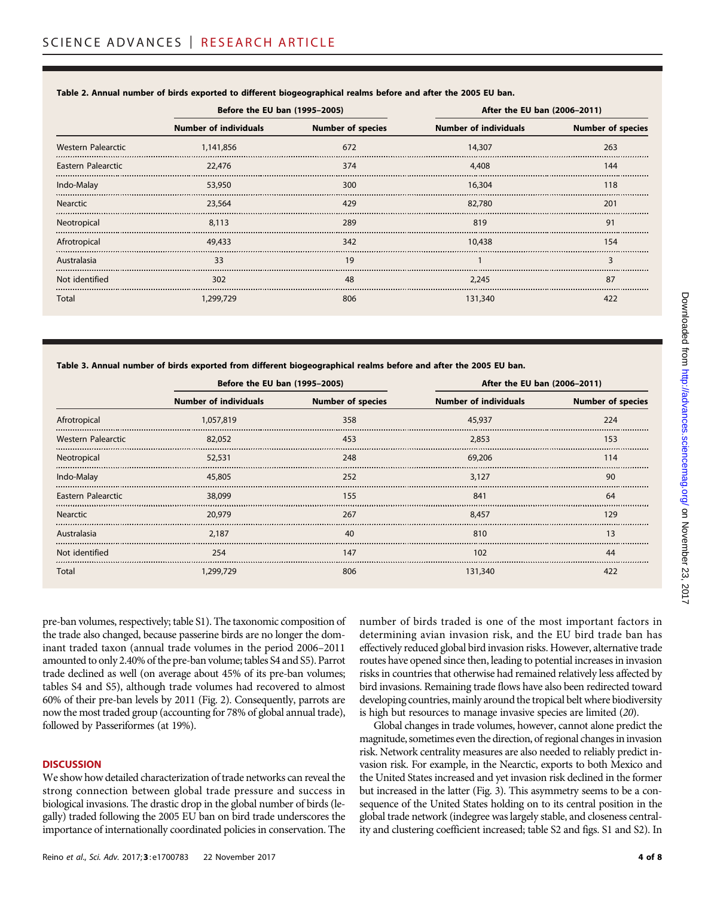|                           | Before the EU ban (1995-2005) |                          | After the EU ban (2006-2011) |                          |
|---------------------------|-------------------------------|--------------------------|------------------------------|--------------------------|
|                           | <b>Number of individuals</b>  | <b>Number of species</b> | <b>Number of individuals</b> | <b>Number of species</b> |
| <b>Western Palearctic</b> | 1,141,856                     | 672                      | 14,307                       | 263                      |
| Eastern Palearctic        | 22,476                        | 374                      | 4,408                        | 144                      |
| Indo-Malay                | 53,950                        | 300                      | 16,304                       | 118                      |
| <b>Nearctic</b>           | 23,564                        | 429                      | 82,780                       | 201                      |
| Neotropical               | 8.113                         | 289                      | 819                          | 91                       |
| Afrotropical              | 49,433                        | 342                      | 10,438                       | 154                      |
| Australasia               | 33                            | 19                       |                              |                          |
| Not identified            | 302                           | 48                       | 2.245                        | 87                       |
| Total                     | 1.299.729                     | 806                      | 131,340                      | 422                      |

#### Table 2. Annual number of birds exported to different biogeographical realms before and after the 2005 EU ban.

Table 3. Annual number of birds exported from different biogeographical realms before and after the 2005 EU ban.

|                           | Before the EU ban (1995-2005) |                          | After the EU ban (2006-2011) |                          |
|---------------------------|-------------------------------|--------------------------|------------------------------|--------------------------|
|                           | <b>Number of individuals</b>  | <b>Number of species</b> | <b>Number of individuals</b> | <b>Number of species</b> |
| Afrotropical              | 1,057,819                     | 358                      | 45,937                       | 224                      |
| <b>Western Palearctic</b> | 82.052                        | 453                      | 2,853                        | 153                      |
| Neotropical               | 52,531                        | 248                      | 69,206                       | 114                      |
| Indo-Malay                | 45.805                        | 252                      | 3.127                        |                          |
| Eastern Palearctic        | 38.099                        | 155                      | 841                          | 64                       |
| <b>Nearctic</b>           | 20,979                        | 267                      | 8.457                        | 29                       |
| Australasia               | 2.187                         | 40                       | 810                          |                          |
| Not identified            | 254                           | 147                      | 102                          |                          |
| Total                     | 1.299.729                     | 806                      | 131,340                      |                          |

number of birds traded is one of the most important factors in determining avian invasion risk, and the EU bird trade ban has effectively reduced global bird invasion risks. However, alternative trade routes have opened since then, leading to potential increases in invasion risks in countries that otherwise had remained relatively less affected by bird invasions. Remaining trade flows have also been redirected toward

is high but resources to manage invasive species are limited (20). Global changes in trade volumes, however, cannot alone predict the magnitude, sometimes even the direction, of regional changes in invasion risk. Network centrality measures are also needed to reliably predict invasion risk. For example, in the Nearctic, exports to both Mexico and the United States increased and yet invasion risk declined in the former but increased in the latter (Fig. 3). This asymmetry seems to be a consequence of the United States holding on to its central position in the global trade network (indegree was largely stable, and closeness centrality and clustering coefficient increased; table S2 and figs. S1 and S2). In

developing countries, mainly around the tropical belt where biodiversity

pre-ban volumes, respectively; table S1). The taxonomic composition of the trade also changed, because passerine birds are no longer the dominant traded taxon (annual trade volumes in the period 2006–2011 amounted to only 2.40% of the pre-ban volume; tables S4 and S5). Parrot trade declined as well (on average about 45% of its pre-ban volumes; tables S4 and S5), although trade volumes had recovered to almost 60% of their pre-ban levels by 2011 (Fig. 2). Consequently, parrots are now the most traded group (accounting for 78% of global annual trade), followed by Passeriformes (at 19%).

#### **DISCUSSION**

We show how detailed characterization of trade networks can reveal the strong connection between global trade pressure and success in biological invasions. The drastic drop in the global number of birds (legally) traded following the 2005 EU ban on bird trade underscores the importance of internationally coordinated policies in conservation. The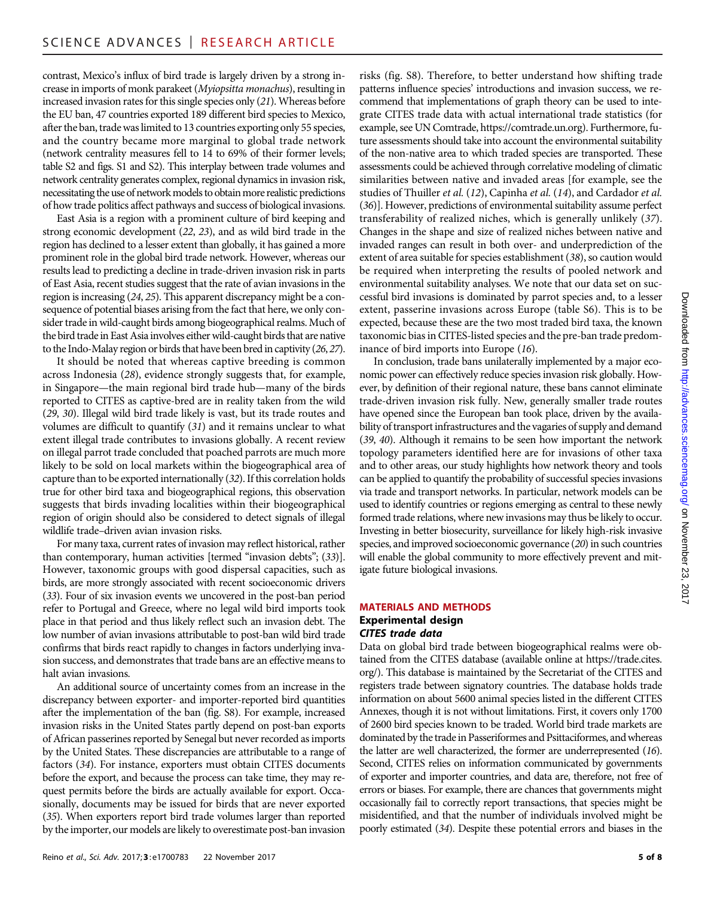contrast, Mexico's influx of bird trade is largely driven by a strong increase in imports of monk parakeet (Myiopsitta monachus), resulting in increased invasion rates for this single species only (21). Whereas before the EU ban, 47 countries exported 189 different bird species to Mexico, after the ban, trade was limited to 13 countries exporting only 55 species, and the country became more marginal to global trade network (network centrality measures fell to 14 to 69% of their former levels; table S2 and figs. S1 and S2). This interplay between trade volumes and network centrality generates complex, regional dynamics in invasion risk, necessitating the use of network models to obtain more realistic predictions of how trade politics affect pathways and success of biological invasions.

East Asia is a region with a prominent culture of bird keeping and strong economic development (22, 23), and as wild bird trade in the region has declined to a lesser extent than globally, it has gained a more prominent role in the global bird trade network. However, whereas our results lead to predicting a decline in trade-driven invasion risk in parts of East Asia, recent studies suggest that the rate of avian invasions in the region is increasing (24, 25). This apparent discrepancy might be a consequence of potential biases arising from the fact that here, we only consider trade in wild-caught birds among biogeographical realms. Much of the bird trade in East Asia involves either wild-caught birds that are native to the Indo-Malay region or birds that have been bred in captivity (26, 27).

It should be noted that whereas captive breeding is common across Indonesia (28), evidence strongly suggests that, for example, in Singapore—the main regional bird trade hub—many of the birds reported to CITES as captive-bred are in reality taken from the wild (29, 30). Illegal wild bird trade likely is vast, but its trade routes and volumes are difficult to quantify (31) and it remains unclear to what extent illegal trade contributes to invasions globally. A recent review on illegal parrot trade concluded that poached parrots are much more likely to be sold on local markets within the biogeographical area of capture than to be exported internationally (32). If this correlation holds true for other bird taxa and biogeographical regions, this observation suggests that birds invading localities within their biogeographical region of origin should also be considered to detect signals of illegal wildlife trade–driven avian invasion risks.

For many taxa, current rates of invasion may reflect historical, rather than contemporary, human activities [termed "invasion debts"; (33)]. However, taxonomic groups with good dispersal capacities, such as birds, are more strongly associated with recent socioeconomic drivers (33). Four of six invasion events we uncovered in the post-ban period refer to Portugal and Greece, where no legal wild bird imports took place in that period and thus likely reflect such an invasion debt. The low number of avian invasions attributable to post-ban wild bird trade confirms that birds react rapidly to changes in factors underlying invasion success, and demonstrates that trade bans are an effective means to halt avian invasions.

An additional source of uncertainty comes from an increase in the discrepancy between exporter- and importer-reported bird quantities after the implementation of the ban (fig. S8). For example, increased invasion risks in the United States partly depend on post-ban exports of African passerines reported by Senegal but never recorded as imports by the United States. These discrepancies are attributable to a range of factors (34). For instance, exporters must obtain CITES documents before the export, and because the process can take time, they may request permits before the birds are actually available for export. Occasionally, documents may be issued for birds that are never exported (35). When exporters report bird trade volumes larger than reported by the importer, our models are likely to overestimate post-ban invasion

risks (fig. S8). Therefore, to better understand how shifting trade patterns influence species' introductions and invasion success, we recommend that implementations of graph theory can be used to integrate CITES trade data with actual international trade statistics (for example, see UN Comtrade, [https://comtrade.un.org\)](https://comtrade.un.org). Furthermore, future assessments should take into account the environmental suitability of the non-native area to which traded species are transported. These assessments could be achieved through correlative modeling of climatic similarities between native and invaded areas [for example, see the studies of Thuiller et al. (12), Capinha et al. (14), and Cardador et al. (36)]. However, predictions of environmental suitability assume perfect transferability of realized niches, which is generally unlikely (37). Changes in the shape and size of realized niches between native and invaded ranges can result in both over- and underprediction of the extent of area suitable for species establishment (38), so caution would be required when interpreting the results of pooled network and environmental suitability analyses. We note that our data set on successful bird invasions is dominated by parrot species and, to a lesser extent, passerine invasions across Europe (table S6). This is to be expected, because these are the two most traded bird taxa, the known taxonomic bias in CITES-listed species and the pre-ban trade predominance of bird imports into Europe (16).

In conclusion, trade bans unilaterally implemented by a major economic power can effectively reduce species invasion risk globally. However, by definition of their regional nature, these bans cannot eliminate trade-driven invasion risk fully. New, generally smaller trade routes have opened since the European ban took place, driven by the availability of transport infrastructures and the vagaries of supply and demand (39, 40). Although it remains to be seen how important the network topology parameters identified here are for invasions of other taxa and to other areas, our study highlights how network theory and tools can be applied to quantify the probability of successful species invasions via trade and transport networks. In particular, network models can be used to identify countries or regions emerging as central to these newly formed trade relations, where new invasions may thus be likely to occur. Investing in better biosecurity, surveillance for likely high-risk invasive species, and improved socioeconomic governance (20) in such countries will enable the global community to more effectively prevent and mitigate future biological invasions.

#### MATERIALS AND METHODS Experimental design CITES trade data

Data on global bird trade between biogeographical realms were obtained from the CITES database (available online at [https://trade.cites.](https://trade.cites.org/) [org/\)](https://trade.cites.org/). This database is maintained by the Secretariat of the CITES and registers trade between signatory countries. The database holds trade information on about 5600 animal species listed in the different CITES Annexes, though it is not without limitations. First, it covers only 1700 of 2600 bird species known to be traded. World bird trade markets are dominated by the trade in Passeriformes and Psittaciformes, and whereas the latter are well characterized, the former are underrepresented (16). Second, CITES relies on information communicated by governments of exporter and importer countries, and data are, therefore, not free of errors or biases. For example, there are chances that governments might occasionally fail to correctly report transactions, that species might be misidentified, and that the number of individuals involved might be poorly estimated (34). Despite these potential errors and biases in the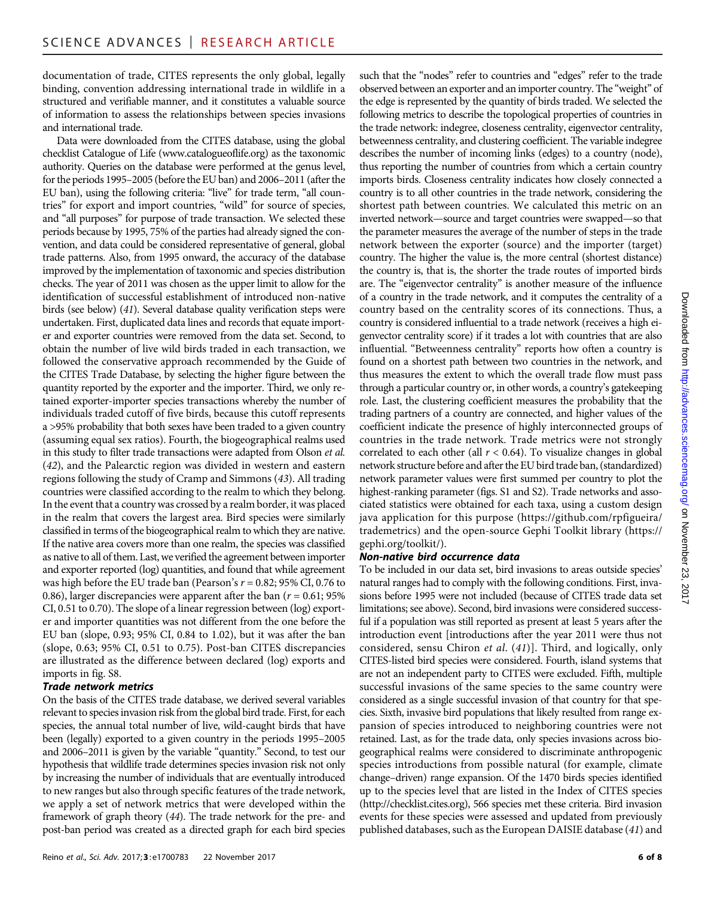documentation of trade, CITES represents the only global, legally binding, convention addressing international trade in wildlife in a structured and verifiable manner, and it constitutes a valuable source of information to assess the relationships between species invasions and international trade.

Data were downloaded from the CITES database, using the global checklist Catalogue of Life ([www.catalogueoflife.org](http://www.catalogueoflife.org)) as the taxonomic authority. Queries on the database were performed at the genus level, for the periods 1995–2005 (before the EU ban) and 2006–2011 (after the EU ban), using the following criteria: "live" for trade term, "all countries" for export and import countries, "wild" for source of species, and "all purposes" for purpose of trade transaction. We selected these periods because by 1995, 75% of the parties had already signed the convention, and data could be considered representative of general, global trade patterns. Also, from 1995 onward, the accuracy of the database improved by the implementation of taxonomic and species distribution checks. The year of 2011 was chosen as the upper limit to allow for the identification of successful establishment of introduced non-native birds (see below) (41). Several database quality verification steps were undertaken. First, duplicated data lines and records that equate importer and exporter countries were removed from the data set. Second, to obtain the number of live wild birds traded in each transaction, we followed the conservative approach recommended by the Guide of the CITES Trade Database, by selecting the higher figure between the quantity reported by the exporter and the importer. Third, we only retained exporter-importer species transactions whereby the number of individuals traded cutoff of five birds, because this cutoff represents a >95% probability that both sexes have been traded to a given country (assuming equal sex ratios). Fourth, the biogeographical realms used in this study to filter trade transactions were adapted from Olson et al. (42), and the Palearctic region was divided in western and eastern regions following the study of Cramp and Simmons (43). All trading countries were classified according to the realm to which they belong. In the event that a country was crossed by a realm border, it was placed in the realm that covers the largest area. Bird species were similarly classified in terms of the biogeographical realm to which they are native. If the native area covers more than one realm, the species was classified as native to all of them. Last, we verified the agreement between importer and exporter reported (log) quantities, and found that while agreement was high before the EU trade ban (Pearson's  $r = 0.82$ ; 95% CI, 0.76 to 0.86), larger discrepancies were apparent after the ban ( $r = 0.61$ ; 95% CI, 0.51 to 0.70). The slope of a linear regression between (log) exporter and importer quantities was not different from the one before the EU ban (slope, 0.93; 95% CI, 0.84 to 1.02), but it was after the ban (slope, 0.63; 95% CI, 0.51 to 0.75). Post-ban CITES discrepancies are illustrated as the difference between declared (log) exports and imports in fig. S8.

#### Trade network metrics

On the basis of the CITES trade database, we derived several variables relevant to species invasion risk from the global bird trade. First, for each species, the annual total number of live, wild-caught birds that have been (legally) exported to a given country in the periods 1995–2005 and 2006–2011 is given by the variable "quantity." Second, to test our hypothesis that wildlife trade determines species invasion risk not only by increasing the number of individuals that are eventually introduced to new ranges but also through specific features of the trade network, we apply a set of network metrics that were developed within the framework of graph theory (44). The trade network for the pre- and post-ban period was created as a directed graph for each bird species

such that the "nodes" refer to countries and "edges" refer to the trade observed between an exporter and an importer country. The "weight" of the edge is represented by the quantity of birds traded. We selected the following metrics to describe the topological properties of countries in the trade network: indegree, closeness centrality, eigenvector centrality, betweenness centrality, and clustering coefficient. The variable indegree describes the number of incoming links (edges) to a country (node), thus reporting the number of countries from which a certain country imports birds. Closeness centrality indicates how closely connected a country is to all other countries in the trade network, considering the shortest path between countries. We calculated this metric on an inverted network—source and target countries were swapped—so that the parameter measures the average of the number of steps in the trade network between the exporter (source) and the importer (target) country. The higher the value is, the more central (shortest distance) the country is, that is, the shorter the trade routes of imported birds are. The "eigenvector centrality" is another measure of the influence of a country in the trade network, and it computes the centrality of a country based on the centrality scores of its connections. Thus, a country is considered influential to a trade network (receives a high eigenvector centrality score) if it trades a lot with countries that are also influential. "Betweenness centrality" reports how often a country is found on a shortest path between two countries in the network, and thus measures the extent to which the overall trade flow must pass through a particular country or, in other words, a country's gatekeeping role. Last, the clustering coefficient measures the probability that the trading partners of a country are connected, and higher values of the coefficient indicate the presence of highly interconnected groups of countries in the trade network. Trade metrics were not strongly correlated to each other (all  $r < 0.64$ ). To visualize changes in global network structure before and after the EU bird trade ban, (standardized) network parameter values were first summed per country to plot the highest-ranking parameter (figs. S1 and S2). Trade networks and associated statistics were obtained for each taxa, using a custom design java application for this purpose [\(https://github.com/rpfigueira/](https://github.com/rpfigueira/trademetrics) [trademetrics](https://github.com/rpfigueira/trademetrics)) and the open-source Gephi Toolkit library ([https://](https://gephi.org/toolkit/) [gephi.org/toolkit/\)](https://gephi.org/toolkit/).

#### Non-native bird occurrence data

To be included in our data set, bird invasions to areas outside species' natural ranges had to comply with the following conditions. First, invasions before 1995 were not included (because of CITES trade data set limitations; see above). Second, bird invasions were considered successful if a population was still reported as present at least 5 years after the introduction event [introductions after the year 2011 were thus not considered, sensu Chiron et al. (41)]. Third, and logically, only CITES-listed bird species were considered. Fourth, island systems that are not an independent party to CITES were excluded. Fifth, multiple successful invasions of the same species to the same country were considered as a single successful invasion of that country for that species. Sixth, invasive bird populations that likely resulted from range expansion of species introduced to neighboring countries were not retained. Last, as for the trade data, only species invasions across biogeographical realms were considered to discriminate anthropogenic species introductions from possible natural (for example, climate change–driven) range expansion. Of the 1470 birds species identified up to the species level that are listed in the Index of CITES species [\(http://checklist.cites.org](http://checklist.cites.org)), 566 species met these criteria. Bird invasion events for these species were assessed and updated from previously published databases, such as the European DAISIE database (41) and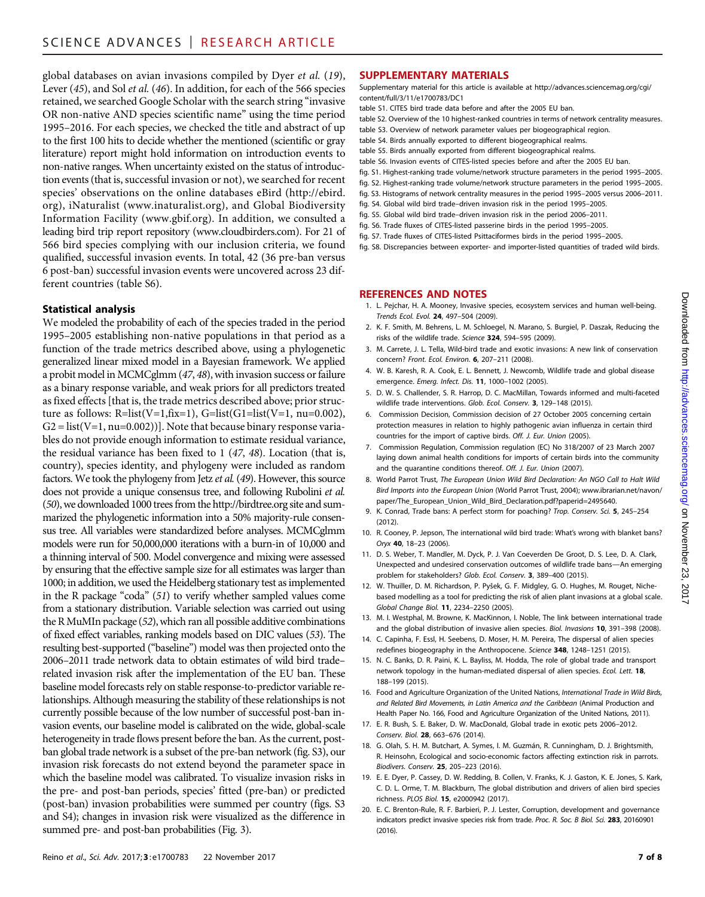global databases on avian invasions compiled by Dyer et al. (19), Lever (45), and Sol et al. (46). In addition, for each of the 566 species retained, we searched Google Scholar with the search string "invasive OR non-native AND species scientific name" using the time period 1995–2016. For each species, we checked the title and abstract of up to the first 100 hits to decide whether the mentioned (scientific or gray literature) report might hold information on introduction events to non-native ranges. When uncertainty existed on the status of introduction events (that is, successful invasion or not), we searched for recent species' observations on the online databases eBird ([http://ebird.](http://ebird.org) [org](http://ebird.org)), iNaturalist ([www.inaturalist.org\)](http://www.inaturalist.org), and Global Biodiversity Information Facility ([www.gbif.org](http://www.gbif.org)). In addition, we consulted a leading bird trip report repository ([www.cloudbirders.com](http://www.cloudbirders.com)). For 21 of 566 bird species complying with our inclusion criteria, we found qualified, successful invasion events. In total, 42 (36 pre-ban versus 6 post-ban) successful invasion events were uncovered across 23 different countries (table S6).

### Statistical analysis

We modeled the probability of each of the species traded in the period 1995–2005 establishing non-native populations in that period as a function of the trade metrics described above, using a phylogenetic generalized linear mixed model in a Bayesian framework. We applied a probit model in MCMCglmm (47, 48), with invasion success or failure as a binary response variable, and weak priors for all predictors treated as fixed effects [that is, the trade metrics described above; prior structure as follows:  $R=list(V=1, fix=1)$ ,  $G=list(G1=list(V=1, nu=0.002)$ ,  $G2 = list(V=1, nu=0.002))$ . Note that because binary response variables do not provide enough information to estimate residual variance, the residual variance has been fixed to 1 (47, 48). Location (that is, country), species identity, and phylogeny were included as random factors. We took the phylogeny from Jetz et al. (49). However, this source does not provide a unique consensus tree, and following Rubolini et al. (50), we downloaded 1000 trees from the<http://birdtree.org> site and summarized the phylogenetic information into a 50% majority-rule consensus tree. All variables were standardized before analyses. MCMCglmm models were run for 50,000,000 iterations with a burn-in of 10,000 and a thinning interval of 500. Model convergence and mixing were assessed by ensuring that the effective sample size for all estimates was larger than 1000; in addition, we used the Heidelberg stationary test as implemented in the R package "coda" (51) to verify whether sampled values come from a stationary distribution. Variable selection was carried out using the R MuMIn package (52), which ran all possible additive combinations of fixed effect variables, ranking models based on DIC values (53). The resulting best-supported ("baseline") model was then projected onto the 2006–2011 trade network data to obtain estimates of wild bird trade– related invasion risk after the implementation of the EU ban. These baseline model forecasts rely on stable response-to-predictor variable relationships. Although measuring the stability of these relationships is not currently possible because of the low number of successful post-ban invasion events, our baseline model is calibrated on the wide, global-scale heterogeneity in trade flows present before the ban. As the current, postban global trade network is a subset of the pre-ban network (fig. S3), our invasion risk forecasts do not extend beyond the parameter space in which the baseline model was calibrated. To visualize invasion risks in the pre- and post-ban periods, species' fitted (pre-ban) or predicted (post-ban) invasion probabilities were summed per country (figs. S3 and S4); changes in invasion risk were visualized as the difference in summed pre- and post-ban probabilities (Fig. 3).

Supplementary material for this article is available at [http://advances.sciencemag.org/cgi/](http://advances.sciencemag.org/cgi/content/full/3/11/e1700783/DC1) [content/full/3/11/e1700783/DC1](http://advances.sciencemag.org/cgi/content/full/3/11/e1700783/DC1)

- table S1. CITES bird trade data before and after the 2005 EU ban.
- table S2. Overview of the 10 highest-ranked countries in terms of network centrality measures.
- table S3. Overview of network parameter values per biogeographical region.
- table S4. Birds annually exported to different biogeographical realms. table S5. Birds annually exported from different biogeographical realms.
- table S6. Invasion events of CITES-listed species before and after the 2005 EU ban.
- fig. S1. Highest-ranking trade volume/network structure parameters in the period 1995–2005.
- fig. S2. Highest-ranking trade volume/network structure parameters in the period 1995–2005.
- fig. S3. Histograms of network centrality measures in the period 1995–2005 versus 2006–2011.
- fig. S4. Global wild bird trade–driven invasion risk in the period 1995–2005.
- fig. S5. Global wild bird trade–driven invasion risk in the period 2006–2011.
- fig. S6. Trade fluxes of CITES-listed passerine birds in the period 1995–2005.
- fig. S7. Trade fluxes of CITES-listed Psittaciformes birds in the period 1995–2005.
- fig. S8. Discrepancies between exporter- and importer-listed quantities of traded wild birds.

#### REFERENCES AND NOTES

- 1. L. Pejchar, H. A. Mooney, Invasive species, ecosystem services and human well-being. Trends Ecol. Evol. 24, 497–504 (2009).
- 2. K. F. Smith, M. Behrens, L. M. Schloegel, N. Marano, S. Burgiel, P. Daszak, Reducing the risks of the wildlife trade. Science 324, 594–595 (2009).
- 3. M. Carrete, J. L. Tella, Wild-bird trade and exotic invasions: A new link of conservation concern? Front. Ecol. Environ. 6, 207–211 (2008).
- 4. W. B. Karesh, R. A. Cook, E. L. Bennett, J. Newcomb, Wildlife trade and global disease emergence. Emerg. Infect. Dis. 11, 1000–1002 (2005).
- 5. D. W. S. Challender, S. R. Harrop, D. C. MacMillan, Towards informed and multi-faceted wildlife trade interventions. Glob. Ecol. Conserv. 3, 129-148 (2015).
- 6. Commission Decision, Commission decision of 27 October 2005 concerning certain protection measures in relation to highly pathogenic avian influenza in certain third countries for the import of captive birds. Off. J. Eur. Union (2005).
- 7. Commission Regulation, Commission regulation (EC) No 318/2007 of 23 March 2007 laying down animal health conditions for imports of certain birds into the community and the quarantine conditions thereof. Off. J. Eur. Union (2007).
- 8. World Parrot Trust, The European Union Wild Bird Declaration: An NGO Call to Halt Wild Bird Imports into the European Union (World Parrot Trust, 2004); [www.ibrarian.net/navon/](http://www.ibrarian.net/navon/paper/The_European_Union_Wild_Bird_Declaration.pdf?paperid=2495640) [paper/The\\_European\\_Union\\_Wild\\_Bird\\_Declaration.pdf?paperid=2495640.](http://www.ibrarian.net/navon/paper/The_European_Union_Wild_Bird_Declaration.pdf?paperid=2495640)
- 9. K. Conrad, Trade bans: A perfect storm for poaching? Trop. Conserv. Sci. 5, 245–254 (2012).
- 10. R. Cooney, P. Jepson, The international wild bird trade: What's wrong with blanket bans? Oryx 40, 18–23 (2006).
- 11. D. S. Weber, T. Mandler, M. Dyck, P. J. Van Coeverden De Groot, D. S. Lee, D. A. Clark, Unexpected and undesired conservation outcomes of wildlife trade bans—An emerging problem for stakeholders? Glob. Ecol. Conserv. 3, 389–400 (2015).
- 12. W. Thuiller, D. M. Richardson, P. Pyšek, G. F. Midgley, G. O. Hughes, M. Rouget, Nichebased modelling as a tool for predicting the risk of alien plant invasions at a global scale. Global Change Biol. 11, 2234–2250 (2005).
- 13. M. I. Westphal, M. Browne, K. MacKinnon, I. Noble, The link between international trade and the global distribution of invasive alien species. Biol. Invasions 10, 391–398 (2008).
- 14. C. Capinha, F. Essl, H. Seebens, D. Moser, H. M. Pereira, The dispersal of alien species redefines biogeography in the Anthropocene. Science 348, 1248-1251 (2015).
- 15. N. C. Banks, D. R. Paini, K. L. Bayliss, M. Hodda, The role of global trade and transport network topology in the human-mediated dispersal of alien species. Ecol. Lett. 18, 188–199 (2015).
- 16. Food and Agriculture Organization of the United Nations, International Trade in Wild Birds, and Related Bird Movements, in Latin America and the Caribbean (Animal Production and Health Paper No. 166, Food and Agriculture Organization of the United Nations, 2011).
- 17. E. R. Bush, S. E. Baker, D. W. MacDonald, Global trade in exotic pets 2006–2012. Conserv. Biol. 28, 663–676 (2014).
- 18. G. Olah, S. H. M. Butchart, A. Symes, I. M. Guzmán, R. Cunningham, D. J. Brightsmith, R. Heinsohn, Ecological and socio-economic factors affecting extinction risk in parrots. Biodivers. Conserv. 25, 205–223 (2016).
- 19. E. E. Dyer, P. Cassey, D. W. Redding, B. Collen, V. Franks, K. J. Gaston, K. E. Jones, S. Kark, C. D. L. Orme, T. M. Blackburn, The global distribution and drivers of alien bird species richness. PLOS Biol. 15, e2000942 (2017).
- 20. E. C. Brenton-Rule, R. F. Barbieri, P. J. Lester, Corruption, development and governance indicators predict invasive species risk from trade. Proc. R. Soc. B Biol. Sci. 283, 20160901 (2016).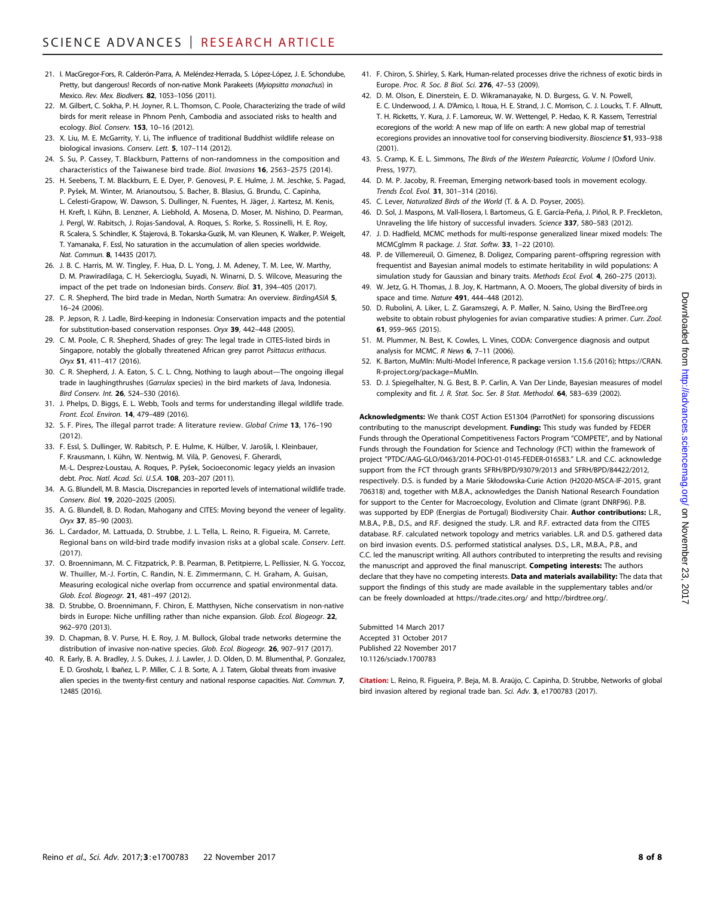- 21. I. MacGregor-Fors, R. Calderón-Parra, A. Meléndez-Herrada, S. López-López, J. E. Schondube, Pretty, but dangerous! Records of non-native Monk Parakeets (Myiopsitta monachus) in Mexico. Rev. Mex. Biodivers. 82, 1053–1056 (2011).
- 22. M. Gilbert, C. Sokha, P. H. Joyner, R. L. Thomson, C. Poole, Characterizing the trade of wild birds for merit release in Phnom Penh, Cambodia and associated risks to health and ecology. Biol. Conserv. 153, 10–16 (2012).
- 23. X. Liu, M. E. McGarrity, Y. Li, The influence of traditional Buddhist wildlife release on biological invasions. Conserv. Lett. 5, 107-114 (2012).
- 24. S. Su, P. Cassey, T. Blackburn, Patterns of non-randomness in the composition and characteristics of the Taiwanese bird trade. Biol. Invasions 16, 2563–2575 (2014).
- 25. H. Seebens, T. M. Blackburn, E. E. Dyer, P. Genovesi, P. E. Hulme, J. M. Jeschke, S. Pagad, P. Pyšek, M. Winter, M. Arianoutsou, S. Bacher, B. Blasius, G. Brundu, C. Capinha, L. Celesti-Grapow, W. Dawson, S. Dullinger, N. Fuentes, H. Jäger, J. Kartesz, M. Kenis, H. Kreft, I. Kühn, B. Lenzner, A. Liebhold, A. Mosena, D. Moser, M. Nishino, D. Pearman, J. Pergl, W. Rabitsch, J. Rojas-Sandoval, A. Roques, S. Rorke, S. Rossinelli, H. E. Roy, R. Scalera, S. Schindler, K. Štajerová, B. Tokarska-Guzik, M. van Kleunen, K. Walker, P. Weigelt, T. Yamanaka, F. Essl, No saturation in the accumulation of alien species worldwide. Nat. Commun. 8, 14435 (2017).
- 26. J. B. C. Harris, M. W. Tingley, F. Hua, D. L. Yong, J. M. Adeney, T. M. Lee, W. Marthy, D. M. Prawiradilaga, C. H. Sekercioglu, Suyadi, N. Winarni, D. S. Wilcove, Measuring the impact of the pet trade on Indonesian birds. Conserv. Biol. 31, 394–405 (2017).
- 27. C. R. Shepherd, The bird trade in Medan, North Sumatra: An overview. BirdingASIA 5, 16–24 (2006).
- 28. P. Jepson, R. J. Ladle, Bird-keeping in Indonesia: Conservation impacts and the potential for substitution-based conservation responses. Oryx 39, 442–448 (2005).
- 29. C. M. Poole, C. R. Shepherd, Shades of grey: The legal trade in CITES-listed birds in Singapore, notably the globally threatened African grey parrot Psittacus erithacus. Oryx 51, 411–417 (2016).
- 30. C. R. Shepherd, J. A. Eaton, S. C. L. Chng, Nothing to laugh about—The ongoing illegal trade in laughingthrushes (Garrulax species) in the bird markets of Java, Indonesia. Bird Conserv. Int. 26, 524–530 (2016).
- 31. J. Phelps, D. Biggs, E. L. Webb, Tools and terms for understanding illegal wildlife trade. Front. Ecol. Environ. 14, 479–489 (2016).
- 32. S. F. Pires, The illegal parrot trade: A literature review. Global Crime 13, 176–190 (2012).
- 33. F. Essl, S. Dullinger, W. Rabitsch, P. E. Hulme, K. Hülber, V. Jarošík, I. Kleinbauer, F. Krausmann, I. Kühn, W. Nentwig, M. Vilà, P. Genovesi, F. Gherardi, M.-L. Desprez-Loustau, A. Roques, P. Pyšek, Socioeconomic legacy yields an invasion debt. Proc. Natl. Acad. Sci. U.S.A. 108, 203–207 (2011).
- 34. A. G. Blundell, M. B. Mascia, Discrepancies in reported levels of international wildlife trade. Conserv. Biol. 19, 2020–2025 (2005).
- 35. A. G. Blundell, B. D. Rodan, Mahogany and CITES: Moving beyond the veneer of legality. Oryx 37, 85–90 (2003).
- 36. L. Cardador, M. Lattuada, D. Strubbe, J. L. Tella, L. Reino, R. Figueira, M. Carrete, Regional bans on wild-bird trade modify invasion risks at a global scale. Conserv. Lett. (2017).
- 37. O. Broennimann, M. C. Fitzpatrick, P. B. Pearman, B. Petitpierre, L. Pellissier, N. G. Yoccoz, W. Thuiller, M.-J. Fortin, C. Randin, N. E. Zimmermann, C. H. Graham, A. Guisan, Measuring ecological niche overlap from occurrence and spatial environmental data. Glob. Ecol. Biogeogr. 21, 481–497 (2012).
- 38. D. Strubbe, O. Broennimann, F. Chiron, E. Matthysen, Niche conservatism in non-native birds in Europe: Niche unfilling rather than niche expansion. Glob. Ecol. Biogeogr. 22, 962–970 (2013).
- 39. D. Chapman, B. V. Purse, H. E. Roy, J. M. Bullock, Global trade networks determine the distribution of invasive non-native species. Glob. Ecol. Biogeogr. 26, 907–917 (2017).
- 40. R. Early, B. A. Bradley, J. S. Dukes, J. J. Lawler, J. D. Olden, D. M. Blumenthal, P. Gonzalez, E. D. Grosholz, I. Ibañez, L. P. Miller, C. J. B. Sorte, A. J. Tatem, Global threats from invasive alien species in the twenty-first century and national response capacities. Nat. Commun. 7, 12485 (2016).
- 41. F. Chiron, S. Shirley, S. Kark, Human-related processes drive the richness of exotic birds in Europe. Proc. R. Soc. B Biol. Sci. 276, 47–53 (2009).
- 42. D. M. Olson, E. Dinerstein, E. D. Wikramanayake, N. D. Burgess, G. V. N. Powell, E. C. Underwood, J. A. D'Amico, I. Itoua, H. E. Strand, J. C. Morrison, C. J. Loucks, T. F. Allnutt, T. H. Ricketts, Y. Kura, J. F. Lamoreux, W. W. Wettengel, P. Hedao, K. R. Kassem, Terrestrial ecoregions of the world: A new map of life on earth: A new global map of terrestrial ecoregions provides an innovative tool for conserving biodiversity. Bioscience 51, 933–938 (2001).
- 43. S. Cramp, K. E. L. Simmons, The Birds of the Western Palearctic, Volume I (Oxford Univ. Press, 1977).
- 44. D. M. P. Jacoby, R. Freeman, Emerging network-based tools in movement ecology. Trends Ecol. Evol. 31, 301–314 (2016).
- 45. C. Lever, Naturalized Birds of the World (T. & A. D. Poyser, 2005).
- 46. D. Sol, J. Maspons, M. Vall-llosera, I. Bartomeus, G. E. García-Peña, J. Piñol, R. P. Freckleton, Unraveling the life history of successful invaders. Science 337, 580–583 (2012).
- 47. J. D. Hadfield, MCMC methods for multi-response generalized linear mixed models: The MCMCglmm R package. J. Stat. Softw. 33, 1–22 (2010).
- 48. P. de Villemereuil, O. Gimenez, B. Doligez, Comparing parent–offspring regression with frequentist and Bayesian animal models to estimate heritability in wild populations: A simulation study for Gaussian and binary traits. Methods Ecol. Evol. 4. 260-275 (2013).
- 49. W. Jetz, G. H. Thomas, J. B. Joy, K. Hartmann, A. O. Mooers, The global diversity of birds in space and time. Nature 491, 444-448 (2012).
- 50. D. Rubolini, A. Liker, L. Z. Garamszegi, A. P. Møller, N. Saino, Using the BirdTree.org website to obtain robust phylogenies for avian comparative studies: A primer. Curr. Zool. 61, 959–965 (2015).
- 51. M. Plummer, N. Best, K. Cowles, L. Vines, CODA: Convergence diagnosis and output analysis for MCMC.  $R$  News 6, 7-11 (2006).
- 52. K. Barton, MuMIn: Multi-Model Inference, R package version 1.15.6 (2016); [https://CRAN.](https://CRAN.R-project.org/package=MuMIn) [R-project.org/package=MuMIn.](https://CRAN.R-project.org/package=MuMIn)
- 53. D. J. Spiegelhalter, N. G. Best, B. P. Carlin, A. Van Der Linde, Bayesian measures of model complexity and fit. J. R. Stat. Soc. Ser. B Stat. Methodol. 64, 583-639 (2002).

Acknowledgments: We thank COST Action ES1304 (ParrotNet) for sponsoring discussions contributing to the manuscript development. Funding: This study was funded by FEDER Funds through the Operational Competitiveness Factors Program "COMPETE", and by National Funds through the Foundation for Science and Technology (FCT) within the framework of project "PTDC/AAG-GLO/0463/2014-POCI-01-0145-FEDER-016583." L.R. and C.C. acknowledge support from the FCT through grants SFRH/BPD/93079/2013 and SFRH/BPD/84422/2012, respectively. D.S. is funded by a Marie Skłodowska-Curie Action (H2020-MSCA-IF-2015, grant 706318) and, together with M.B.A., acknowledges the Danish National Research Foundation for support to the Center for Macroecology, Evolution and Climate (grant DNRF96). P.B. was supported by EDP (Energias de Portugal) Biodiversity Chair. Author contributions: L.R. M.B.A., P.B., D.S., and R.F. designed the study. L.R. and R.F. extracted data from the CITES database. R.F. calculated network topology and metrics variables. L.R. and D.S. gathered data on bird invasion events. D.S. performed statistical analyses. D.S., L.R., M.B.A., P.B., and C.C. led the manuscript writing. All authors contributed to interpreting the results and revising the manuscript and approved the final manuscript. Competing interests: The authors declare that they have no competing interests. Data and materials availability: The data that support the findings of this study are made available in the supplementary tables and/or can be freely downloaded at<https://trade.cites.org/> and [http://birdtree.org/.](http://birdtree.org/)

Submitted 14 March 2017 Accepted 31 October 2017 Published 22 November 2017 10.1126/sciadv.1700783

Citation: L. Reino, R. Figueira, P. Beja, M. B. Araújo, C. Capinha, D. Strubbe, Networks of global bird invasion altered by regional trade ban. Sci. Adv. 3, e1700783 (2017).